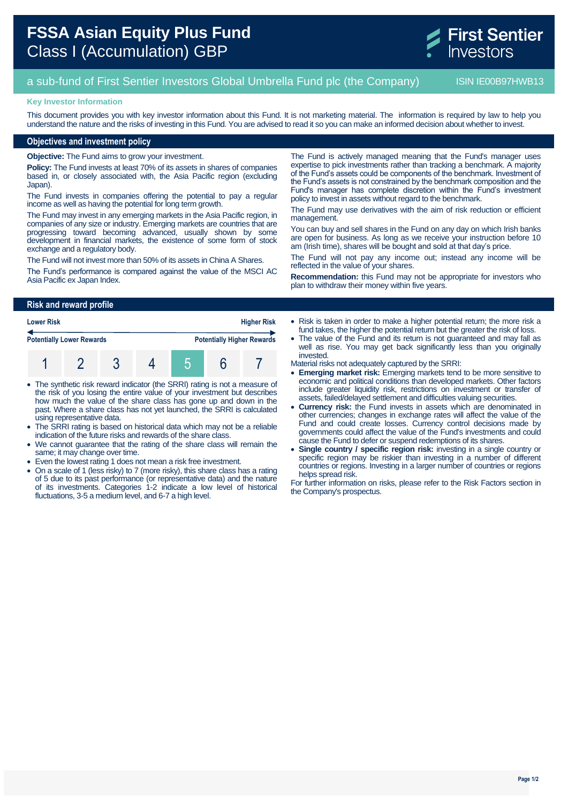

# a sub-fund of First Sentier Investors Global Umbrella Fund plc (the Company) ISIN IE00B97HWB13

#### **Key Investor Information**

This document provides you with key investor information about this Fund. It is not marketing material. The information is required by law to help you understand the nature and the risks of investing in this Fund. You are advised to read it so you can make an informed decision about whether to invest.

### **Objectives and investment policy**

**Objective:** The Fund aims to grow your investment.

**Policy:** The Fund invests at least 70% of its assets in shares of companies based in, or closely associated with, the Asia Pacific region (excluding Japan).

The Fund invests in companies offering the potential to pay a regular income as well as having the potential for long term growth.

The Fund may invest in any emerging markets in the Asia Pacific region, in companies of any size or industry. Emerging markets are countries that are progressing toward becoming advanced, usually shown by some development in financial markets, the existence of some form of stock exchange and a regulatory body.

The Fund will not invest more than 50% of its assets in China A Shares.

The Fund's performance is compared against the value of the MSCI AC Asia Pacific ex Japan Index.

The Fund is actively managed meaning that the Fund's manager uses expertise to pick investments rather than tracking a benchmark. A majority of the Fund's assets could be components of the benchmark. Investment of the Fund's assets is not constrained by the benchmark composition and the Fund's manager has complete discretion within the Fund's investment policy to invest in assets without regard to the benchmark.

The Fund may use derivatives with the aim of risk reduction or efficient management.

You can buy and sell shares in the Fund on any day on which Irish banks are open for business. As long as we receive your instruction before 10 am (Irish time), shares will be bought and sold at that day's price.

The Fund will not pay any income out; instead any income will be reflected in the value of your shares.

**Recommendation:** this Fund may not be appropriate for investors who plan to withdraw their money within five years.

#### **Risk and reward profile**

| <b>Lower Risk</b><br><b>Potentially Lower Rewards</b> |  |  |  |  | <b>Higher Risk</b><br><b>Potentially Higher Rewards</b> |  |  |
|-------------------------------------------------------|--|--|--|--|---------------------------------------------------------|--|--|
|                                                       |  |  |  |  |                                                         |  |  |

- The synthetic risk reward indicator (the SRRI) rating is not a measure of the risk of you losing the entire value of your investment but describes how much the value of the share class has gone up and down in the past. Where a share class has not yet launched, the SRRI is calculated using representative data.
- The SRRI rating is based on historical data which may not be a reliable indication of the future risks and rewards of the share class.
- We cannot guarantee that the rating of the share class will remain the same; it may change over time.
- Even the lowest rating 1 does not mean a risk free investment.
- On a scale of 1 (less risky) to 7 (more risky), this share class has a rating of 5 due to its past performance (or representative data) and the nature of its investments. Categories 1-2 indicate a low level of historical fluctuations, 3-5 a medium level, and 6-7 a high level.
- Risk is taken in order to make a higher potential return; the more risk a fund takes, the higher the potential return but the greater the risk of loss.
- The value of the Fund and its return is not guaranteed and may fall as well as rise. You may get back significantly less than you originally invested.

Material risks not adequately captured by the SRRI:

- **Emerging market risk:** Emerging markets tend to be more sensitive to economic and political conditions than developed markets. Other factors include greater liquidity risk, restrictions on investment or transfer of assets, failed/delayed settlement and difficulties valuing securities.
- **Currency risk:** the Fund invests in assets which are denominated in other currencies; changes in exchange rates will affect the value of the Fund and could create losses. Currency control decisions made by governments could affect the value of the Fund's investments and could cause the Fund to defer or suspend redemptions of its shares.
- **Single country / specific region risk:** investing in a single country or specific region may be riskier than investing in a number of different countries or regions. Investing in a larger number of countries or regions helps spread risk.

For further information on risks, please refer to the Risk Factors section in the Company's prospectus.